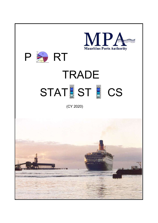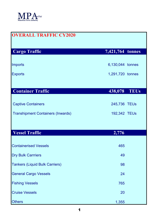

| <b>OVERALL TRAFFIC CY2020</b>            |                  |  |
|------------------------------------------|------------------|--|
| <b>Cargo Traffic</b>                     | 7,421,764 tonnes |  |
| Imports                                  | 6,130,044 tonnes |  |
|                                          |                  |  |
| <b>Exports</b>                           | 1,291,720 tonnes |  |
|                                          |                  |  |
| <b>Container Traffic</b>                 | 438,078 TEUs     |  |
|                                          |                  |  |
| <b>Captive Containers</b>                | 245,736 TEUs     |  |
| <b>Transhipment Containers (Inwards)</b> | 192,342 TEUs     |  |
|                                          |                  |  |
| <b>Vessel Traffic</b>                    | 2,776            |  |
|                                          |                  |  |
| <b>Containerised Vessels</b>             | 465              |  |
| <b>Dry Bulk Carrriers</b>                | 49               |  |
| <b>Tankers (Liquid Bulk Carriers)</b>    | 98               |  |
| <b>General Cargo Vessels</b>             | 24               |  |
| <b>Fishing Vessels</b>                   | 765              |  |
| <b>Cruise Vessels</b>                    | 20               |  |
| <b>Others</b>                            | 1,355            |  |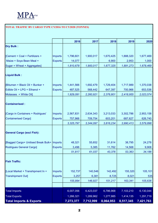

## TOTAL TRAFFIC BY CARGO TYPE CY2016 TO CY2020 (TONNES)

|                                               |                | 2016      | 2017      | 2018      | 2019      | 2020      |
|-----------------------------------------------|----------------|-----------|-----------|-----------|-----------|-----------|
| <b>Dry Bulk:</b>                              |                |           |           |           |           |           |
| [Cement + Coal + Fertilizers +                | <b>Imports</b> | 1,796,601 | 1,900,017 | 1,670,425 | 1,888,320 | 1,677,469 |
| Maize + Soya Bean Meal +                      | <b>Exports</b> | 14,077    |           | 6,900     | 2,953     | 1,000     |
| Sugar + Wheat + Aggregates]                   |                | 1,810,678 | 1,900,017 | 1,677,325 | 1,891,273 | 1,678,469 |
| <b>Liquid Bulk:</b>                           |                |           |           |           |           |           |
| [Bitumen + Black Oil + Bunker +               | <b>Imports</b> | 1,441,566 | 1,692,479 | 1,729,404 | 1,717,989 | 1,370,038 |
| Edible Oil + LPG + Ethanol +                  | <b>Exports</b> | 487,525   | 568,442   | 647,397   | 700,966   | 653,536   |
| Molasses + White Oil]                         |                | 1,929,091 | 2,260,921 | 2,376,801 | 2,418,955 | 2,023,574 |
| <b>Containerised:</b>                         |                |           |           |           |           |           |
| [Cargo in Containers + Rodrigues'             | Imports        | 2,567,831 | 2,634,343 | 3,213,033 | 3,302,786 | 2,953,158 |
| <b>Containerised Cargo]</b>                   | <b>Exports</b> | 757,966   | 709,754   | 603,201   | 687,627   | 626,740   |
|                                               |                | 3,325,797 | 3,344,097 | 3,816,234 | 3,990,413 | 3,579,898 |
| <b>General Cargo (excl Fish):</b>             |                |           |           |           |           |           |
| [Bagged Cargo+ Unitised Break Bulk+   Imports |                | 48,321    | 55,652    | 31,614    | 38,795    | 24,278    |
| Rodrigues General Cargo]                      | <b>Exports</b> | 3,496     | 5,385     | 11,762    | 14,568    | 9,908     |
|                                               |                | 51,817    | 61,037    | 43,376    | 53,363    | 34,186    |
| <b>Fish Traffic:</b>                          |                |           |           |           |           |           |
| [Local Market + Transhipment In +             | Imports        | 152,737   | 140,546   | 142,492   | 155,320   | 105,101   |
| <b>Transhipment Out]</b>                      | <b>Exports</b> | 3,257     | 6,381     | 8,725     | 8,021     | 535       |
|                                               |                | 155,994   | 146,927   | 151,217   | 163,341   | 105,636   |
|                                               |                |           |           |           |           |           |
| <b>Total Imports</b>                          |                | 6,007,056 | 6,423,037 | 6,786,968 | 7,103,210 | 6,130,044 |
| <b>Total Exports</b>                          |                | 1,266,321 | 1,289,962 | 1,277,985 | 1,414,135 | 1,291,719 |
| <b>Total Imports &amp; Exports</b>            |                | 7,273,377 | 7,712,999 | 8,064,953 | 8,517,345 | 7,421,763 |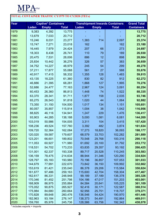

## TOTAL CONTAINER TRAFFIC CY1979 TO CY2020 (TEUs) Year **Captive\* Containers** Transhipment Inwards Containers Grand Total Laden Empty Total Laden Empty Total Containers 1979 | 9,383 4,392 | 13,775 | - - - | - | 1<mark>3,775</mark> 1980 13,679 7,033 20,712 - - 1 - 20,712 1981 | 15,246 8,031 | 23,277 | 1,383 714 | 2,097 | 25,374 1982 | 15,747 7,271 | 23,018 | 162 | 162 | 23,180 1983 | 16,445 7,979 | 24,424 | 207 66 | 273 | 24,697 1984 | 18,303 8,438 | 26,741 | 110 79 | 189 | 26,930 1985 | 20,475 7,531 | 28,006 | 886 12 | 898 | 28,904  $\begin{array}{|c|c|c|c|c|c|c|c|c|} \hline \end{array}$  25,834 10,442 36,276 326 57 387 383 1987 | 34,752 14,227 | 48,979 | 245 54 | 299 | 49,278 1988 | 37,211 17,877 | 55,088 | 561 | 27 | 588 | 55,676 1989 40,917 17,415 58,332 1,355 128 1,483 59,815 1990 43,135 18,225 61,360 830 82 912 62,272 1991 | 46,886 21,395 | 68,281 | 1,868 127 | 1,995 | 70,276 1992 | 52,686 24,477 | 77,163 | 2,967 124 | 3,091 | 80,254 1993 | 60,453 26,360 | 86,813 | 1,448 74 | 1,522 | 88,335 1994 | 63,370 28,341 | 91,711 | 1,877 158 | 2,035 | 93,746 1995 65,275 26,543 91,818 1,020 44 1,064 92,882 1996 | 73,350 31,150 | 104,500 | 1,017 134 | 1,151 | 105,651 1997 | 80,057 35,857 | 115,914 | 1,004 38 | 1,042 | 116,956 1998 88,825 46,116 134,941 1,247 229 1,476 136,417 1999 | 93,903 44,285 | 138,188 5,000 1,081 6,081 | 144,269 2000 103,019 50,986 154,005 3,311 104 3,415 157,420 2001 108,236 49,524 157,760 3,392 482 3,874 161,634 2002 | 109,720 52,364 | 162,084 | 17,273 18,820 | 36,093 | 198,177 2003 | 120,020 59,587 | 179,607 | 68,579 33,703 | 102,282 | 281,889 2004 | 123,201 66,601 | 189,802 | 70,548 29,768 | 100,316 | **290,118** 2005 | 111,053 60,927 | 171,980 | 61,692 20,100 | 81,792 | **253,772** 2006 | 118,531 54,702 | 173,233 | 63,835 29,357 | 93,192 | **266,425** 2007 | 131,001 62,337 | 193,338 | 89,717 20,528 | 110,245 | **303,583** 2008 | 136,159 78,475 | 214,634 | 88,944 31,346 | 120,290 | **334,924** 2009 | 128,797 65,183 | 193,980 | 70,196 36,857 | 107,053 | **301,033** 2010 | 144,679 77,991 | 222,670 | 73,842 36,150 | 109,992 | **332,662** 2011 153,619 81,421 235,040 86,378 29,206 115,584 350,624 2012 | 161,677 97,486 | 259,163 | 115,600 42,704 | 158,304 | **417,467** 2013 | 162,617 86,331 | 248,948 | 99,189 37,189 | 136,378 | 385,326

\* includes exports + imports

2014 | 170,346 81,452 | 251,798 | 104,186 47,017 | 151,203 | 163,001 2015 | 168,909 86,975 | 255,884 | 84,584 20,641 | 105,225 | 361,109 2016 | 175,052 90,875 | 265,927 | 92,416 30,171 | 122,587 | **388,514** 2017 | 175,984 84,680 | 260,664 | 92,956 25,751 | 118,707 | 379,371 2018 | 170,828 89,648 | 260,476 | 136,546 54,424 | 190,970 | 151,446 2019 | 182,963 93,184 | 276,147 | 138,373 54,491 | 192,864 | **469,011** 2020 | 159,760 85,976 | 245,736 | 128,586 63,756 | 192,342 | **438,078**